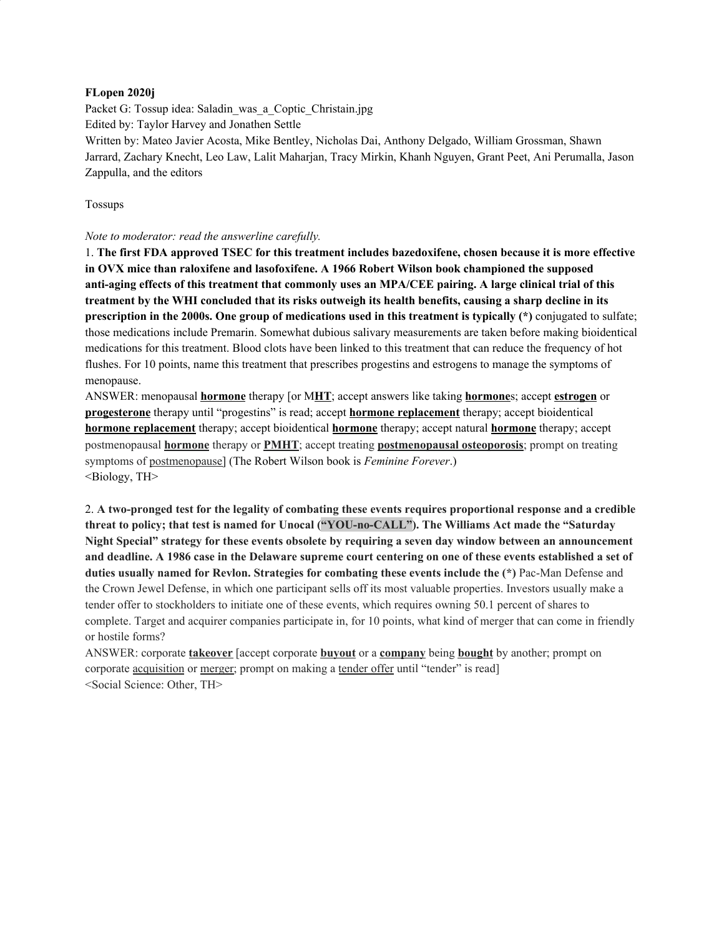## **FLopen 2020j**

Packet G: Tossup idea: Saladin\_was\_a\_Coptic\_Christain.jpg Edited by: Taylor Harvey and Jonathen Settle Written by: Mateo Javier Acosta, Mike Bentley, Nicholas Dai, Anthony Delgado, William Grossman, Shawn Jarrard, Zachary Knecht, Leo Law, Lalit Maharjan, Tracy Mirkin, Khanh Nguyen, Grant Peet, Ani Perumalla, Jason Zappulla, and the editors

Tossups

#### *Note to moderator: read the answerline carefully.*

1. **The first FDA approved TSEC for this treatment includes bazedoxifene, chosen because it is more effective in OVX mice than raloxifene and lasofoxifene. A 1966 Robert Wilson book championed the supposed** anti-aging effects of this treatment that commonly uses an MPA/CEE pairing. A large clinical trial of this treatment by the WHI concluded that its risks outweigh its health benefits, causing a sharp decline in its **prescription in the 2000s. One group of medications used in this treatment is typically (\*)** conjugated to sulfate; those medications include Premarin. Somewhat dubious salivary measurements are taken before making bioidentical medications for this treatment. Blood clots have been linked to this treatment that can reduce the frequency of hot flushes. For 10 points, name this treatment that prescribes progestins and estrogens to manage the symptoms of menopause.

ANSWER: menopausal **hormone** therapy [or M**HT**; accept answers like taking **hormone**s; accept **estrogen** or **progesterone** therapy until "progestins" is read; accept **hormone replacement** therapy; accept bioidentical **hormone replacement** therapy; accept bioidentical **hormone** therapy; accept natural **hormone** therapy; accept postmenopausal **hormone** therapy or **PMHT**; accept treating **postmenopausal osteoporosis**; prompt on treating symptoms of postmenopause] (The Robert Wilson book is *Feminine Forever*.) <Biology, TH>

2. **A two-pronged test for the legality of combating these events requires proportional response and a credible threat to policy; that test is named for Unocal ("YOU-no-CALL"). The Williams Act made the "Saturday Night Special" strategy for these events obsolete by requiring a seven day window between an announcement** and deadline. A 1986 case in the Delaware supreme court centering on one of these events established a set of **duties usually named for Revlon. Strategies for combating these events include the (\*)** Pac-Man Defense and the Crown Jewel Defense, in which one participant sells off its most valuable properties. Investors usually make a tender offer to stockholders to initiate one of these events, which requires owning 50.1 percent of shares to complete. Target and acquirer companies participate in, for 10 points, what kind of merger that can come in friendly or hostile forms?

ANSWER: corporate **takeover** [accept corporate **buyout** or a **company** being **bought** by another; prompt on corporate acquisition or merger; prompt on making a tender offer until "tender" is read] <Social Science: Other, TH>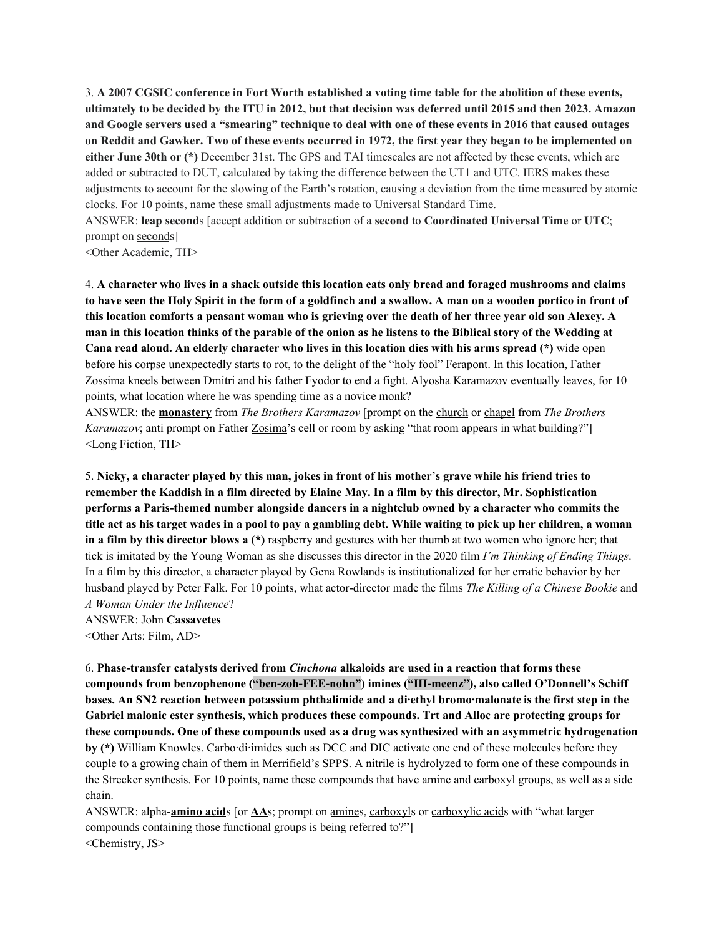3. A 2007 CGSIC conference in Fort Worth established a voting time table for the abolition of these events, ultimately to be decided by the ITU in 2012, but that decision was deferred until 2015 and then 2023. Amazon and Google servers used a "smearing" technique to deal with one of these events in 2016 that caused outages on Reddit and Gawker. Two of these events occurred in 1972, the first year they began to be implemented on **either June 30th or (\*)** December 31st. The GPS and TAI timescales are not affected by these events, which are added or subtracted to DUT, calculated by taking the difference between the UT1 and UTC. IERS makes these adjustments to account for the slowing of the Earth's rotation, causing a deviation from the time measured by atomic clocks. For 10 points, name these small adjustments made to Universal Standard Time.

ANSWER: **leap second**s [accept addition or subtraction of a **second** to **Coordinated Universal Time** or **UTC**; prompt on seconds]

<Other Academic, TH>

4. A character who lives in a shack outside this location eats only bread and foraged mushrooms and claims to have seen the Holy Spirit in the form of a goldfinch and a swallow. A man on a wooden portico in front of this location comforts a peasant woman who is grieving over the death of her three year old son Alexey. A man in this location thinks of the parable of the onion as he listens to the Biblical story of the Wedding at **Cana read aloud. An elderly character who lives in this location dies with his arms spread (\*)** wide open before his corpse unexpectedly starts to rot, to the delight of the "holy fool" Ferapont. In this location, Father Zossima kneels between Dmitri and his father Fyodor to end a fight. Alyosha Karamazov eventually leaves, for 10 points, what location where he was spending time as a novice monk?

ANSWER: the **monastery** from *The Brothers Karamazov* [prompt on the church or chapel from *The Brothers Karamazov*; anti prompt on Father **Zosima**'s cell or room by asking "that room appears in what building?"] <Long Fiction, TH>

5. Nicky, a character played by this man, jokes in front of his mother's grave while his friend tries to remember the Kaddish in a film directed by Elaine May. In a film by this director, Mr. Sophistication **performs a Paris-themed number alongside dancers in a nightclub owned by a character who commits the** title act as his target wades in a pool to pay a gambling debt. While waiting to pick up her children, a woman **in a film by this director blows a (\*)** raspberry and gestures with her thumb at two women who ignore her; that tick is imitated by the Young Woman as she discusses this director in the 2020 film *I'm Thinking of Ending Things*. In a film by this director, a character played by Gena Rowlands is institutionalized for her erratic behavior by her husband played by Peter Falk. For 10 points, what actor-director made the films *The Killing of a Chinese Bookie* and *A Woman Under the Influence*?

<Other Arts: Film, AD>

6. **Phase-transfer catalysts derived from** *Cinchona* **alkaloids are used in a reaction that forms these compounds from benzophenone ("ben-zoh-FEE-nohn") imines ("IH-meenz"), also called O'Donnell's Schiff** bases. An SN2 reaction between potassium phthalimide and a di-ethyl bromo-malonate is the first step in the **Gabriel malonic ester synthesis, which produces these compounds. Trt and Alloc are protecting groups for these compounds. One of these compounds used as a drug was synthesized with an asymmetric hydrogenation by (\*)** William Knowles. Carbo·di·imides such as DCC and DIC activate one end of these molecules before they couple to a growing chain of them in Merrifield's SPPS. A nitrile is hydrolyzed to form one of these compounds in the Strecker synthesis. For 10 points, name these compounds that have amine and carboxyl groups, as well as a side chain.

ANSWER: alpha-**amino acid**s [or **AA**s; prompt on amines, carboxyls or carboxylic acids with "what larger compounds containing those functional groups is being referred to?"] <Chemistry, JS>

ANSWER: John **Cassavetes**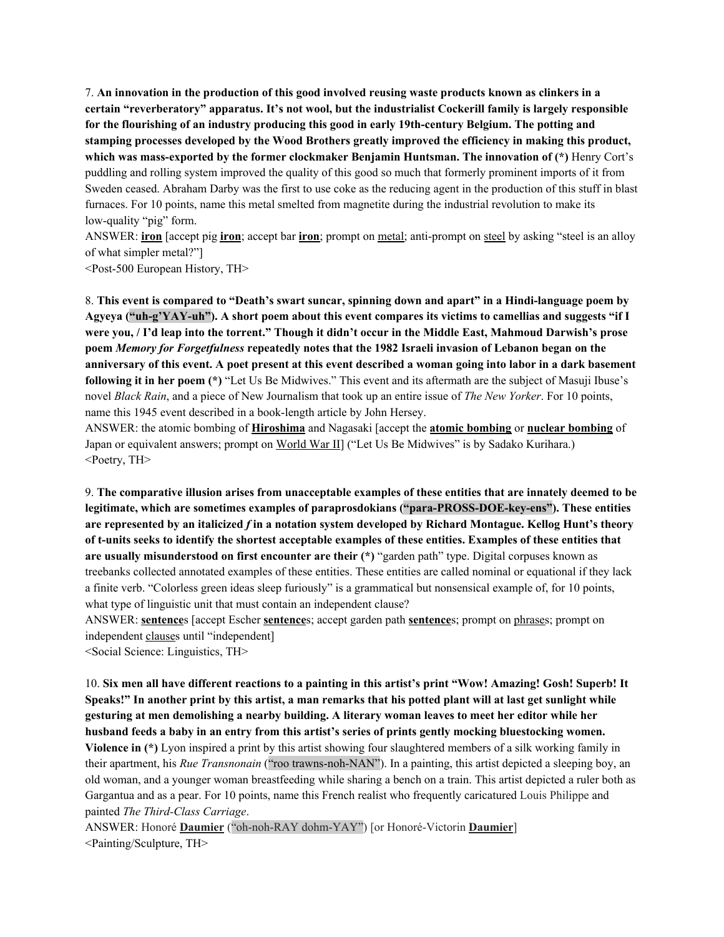7. **An innovation in the production of this good involved reusing waste products known as clinkers in a certain "reverberatory" apparatus. It's not wool, but the industrialist Cockerill family is largely responsible for the flourishing of an industry producing this good in early 19th-century Belgium. The potting and stamping processes developed by the Wood Brothers greatly improved the efficiency in making this product, which was mass-exported by the former clockmaker Benjamin Huntsman. The innovation of (\*)** Henry Cort's puddling and rolling system improved the quality of this good so much that formerly prominent imports of it from Sweden ceased. Abraham Darby was the first to use coke as the reducing agent in the production of this stuff in blast furnaces. For 10 points, name this metal smelted from magnetite during the industrial revolution to make its low-quality "pig" form.

ANSWER: **iron** [accept pig **iron**; accept bar **iron**; prompt on metal; anti-prompt on steel by asking "steel is an alloy of what simpler metal?"]

<Post-500 European History, TH>

8. **This event is compared to "Death's swart suncar, spinning down and apart" in a Hindi-language poem by** Agyeva ("uh-g'YAY-uh"). A short poem about this event compares its victims to camellias and suggests "if I were you, / I'd leap into the torrent." Though it didn't occur in the Middle East, Mahmoud Darwish's prose **poem** *Memory for Forgetfulness* **repeatedly notes that the 1982 Israeli invasion of Lebanon began on the** anniversary of this event. A poet present at this event described a woman going into labor in a dark basement **following it in her poem (\*)** "Let Us Be Midwives." This event and its aftermath are the subject of Masuji Ibuse's novel *Black Rain*, and a piece of New Journalism that took up an entire issue of *The New Yorker*. For 10 points, name this 1945 event described in a book-length article by John Hersey.

ANSWER: the atomic bombing of **Hiroshima** and Nagasaki [accept the **atomic bombing** or **nuclear bombing** of Japan or equivalent answers; prompt on World War II] ("Let Us Be Midwives" is by Sadako Kurihara.) <Poetry, TH>

9. **The comparative illusion arises from unacceptable examples of these entities that are innately deemed to be legitimate, which are sometimes examples of paraprosdokians ("para-PROSS-DOE-key-ens"). These entities** are represented by an italicized f in a notation system developed by Richard Montague. Kellog Hunt's theory of t-units seeks to identify the shortest acceptable examples of these entities. Examples of these entities that **are usually misunderstood on first encounter are their (\*)** "garden path" type. Digital corpuses known as treebanks collected annotated examples of these entities. These entities are called nominal or equational if they lack a finite verb. "Colorless green ideas sleep furiously" is a grammatical but nonsensical example of, for 10 points, what type of linguistic unit that must contain an independent clause?

ANSWER: **sentence**s [accept Escher **sentence**s; accept garden path **sentence**s; prompt on phrases; prompt on independent clauses until "independent]

<Social Science: Linguistics, TH>

10. Six men all have different reactions to a painting in this artist's print "Wow! Amazing! Gosh! Superb! It Speaks!" In another print by this artist, a man remarks that his potted plant will at last get sunlight while **gesturing at men demolishing a nearby building. A literary woman leaves to meet her editor while her husband feeds a baby in an entry from this artist's series of prints gently mocking bluestocking women. Violence in (\*)** Lyon inspired a print by this artist showing four slaughtered members of a silk working family in their apartment, his *Rue Transnonain* ("roo trawns-noh-NAN"). In a painting, this artist depicted a sleeping boy, an old woman, and a younger woman breastfeeding while sharing a bench on a train. This artist depicted a ruler both as Gargantua and as a pear. For 10 points, name this French realist who frequently caricatured Louis Philippe and painted *The Third-Class Carriage*.

ANSWER: Honoré **Daumier** ("oh-noh-RAY dohm-YAY") [or Honoré-Victorin **Daumier**] <Painting/Sculpture, TH>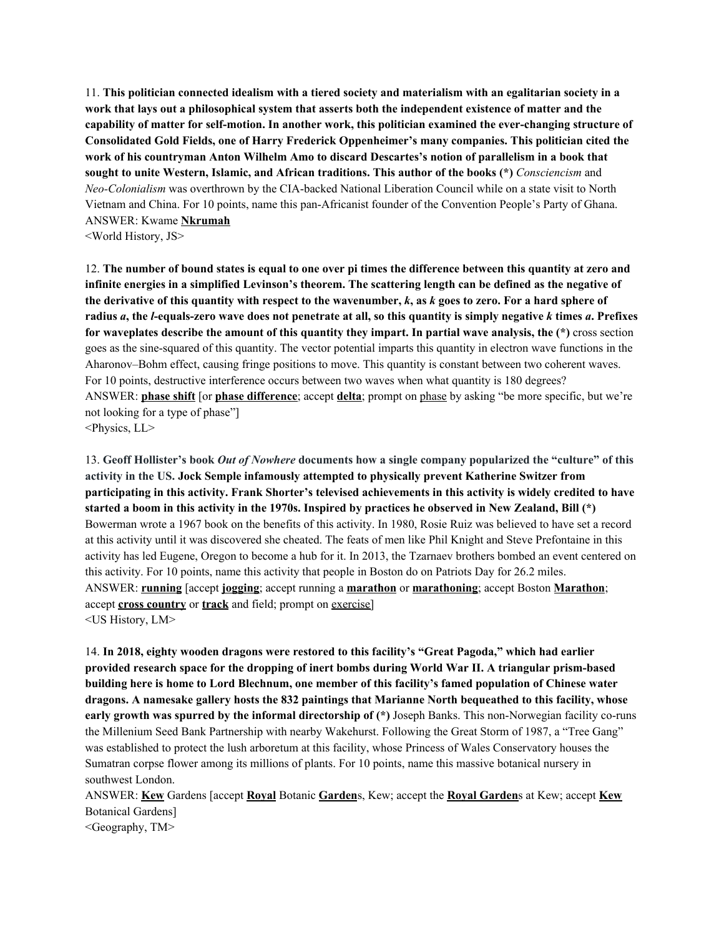11. **This politician connected idealism with a tiered society and materialism with an egalitarian society in a work that lays out a philosophical system that asserts both the independent existence of matter and the capability of matter for self-motion. In another work, this politician examined the ever-changing structure of Consolidated Gold Fields, one of Harry Frederick Oppenheimer's many companies. This politician cited the work of his countryman Anton Wilhelm Amo to discard Descartes's notion of parallelism in a book that sought to unite Western, Islamic, and African traditions. This author of the books (\*)** *Consciencism* and *Neo-Colonialism* was overthrown by the CIA-backed National Liberation Council while on a state visit to North Vietnam and China. For 10 points, name this pan-Africanist founder of the Convention People's Party of Ghana. ANSWER: Kwame **Nkrumah**

<World History, JS>

12. The number of bound states is equal to one over pi times the difference between this quantity at zero and infinite energies in a simplified Levinson's theorem. The scattering length can be defined as the negative of the derivative of this quantity with respect to the wavenumber,  $k$ , as  $k$  goes to zero. For a hard sphere of radius a, the *l*-equals-zero wave does not penetrate at all, so this quantity is simply negative k times a. Prefixes **for waveplates describe the amount of this quantity they impart. In partial wave analysis, the (\*)** cross section goes as the sine-squared of this quantity. The vector potential imparts this quantity in electron wave functions in the Aharonov–Bohm effect, causing fringe positions to move. This quantity is constant between two coherent waves. For 10 points, destructive interference occurs between two waves when what quantity is 180 degrees? ANSWER: **phase shift** [or **phase difference**; accept **delta**; prompt on phase by asking "be more specific, but we're not looking for a type of phase"] <Physics, LL>

13. **Geoff Hollister's book** *Out of Nowhere* **documents how a single company popularized the "culture" of this activity in the US. Jock Semple infamously attempted to physically prevent Katherine Switzer from** participating in this activity. Frank Shorter's televised achievements in this activity is widely credited to have started a boom in this activity in the 1970s. Inspired by practices he observed in New Zealand, Bill (\*) Bowerman wrote a 1967 book on the benefits of this activity. In 1980, Rosie Ruiz was believed to have set a record at this activity until it was discovered she cheated. The feats of men like Phil Knight and Steve Prefontaine in this activity has led Eugene, Oregon to become a hub for it. In 2013, the Tzarnaev brothers bombed an event centered on this activity. For 10 points, name this activity that people in Boston do on Patriots Day for 26.2 miles. ANSWER: **running** [accept **jogging**; accept running a **marathon** or **marathoning**; accept Boston **Marathon**; accept **cross country** or **track** and field; prompt on exercise] <US History, LM>

14. **In 2018, eighty wooden dragons were restored to this facility's "Great Pagoda," which had earlier provided research space for the dropping of inert bombs during World War II. A triangular prism-based building here is home to Lord Blechnum, one member of this facility's famed population of Chinese water dragons. A namesake gallery hosts the 832 paintings that Marianne North bequeathed to this facility, whose early growth was spurred by the informal directorship of (\*)** Joseph Banks. This non-Norwegian facility co-runs the Millenium Seed Bank Partnership with nearby Wakehurst. Following the Great Storm of 1987, a "Tree Gang" was established to protect the lush arboretum at this facility, whose Princess of Wales Conservatory houses the Sumatran corpse flower among its millions of plants. For 10 points, name this massive botanical nursery in southwest London.

ANSWER: **Kew** Gardens [accept **Royal** Botanic **Garden**s, Kew; accept the **Royal Garden**s at Kew; accept **Kew** Botanical Gardens]

<Geography, TM>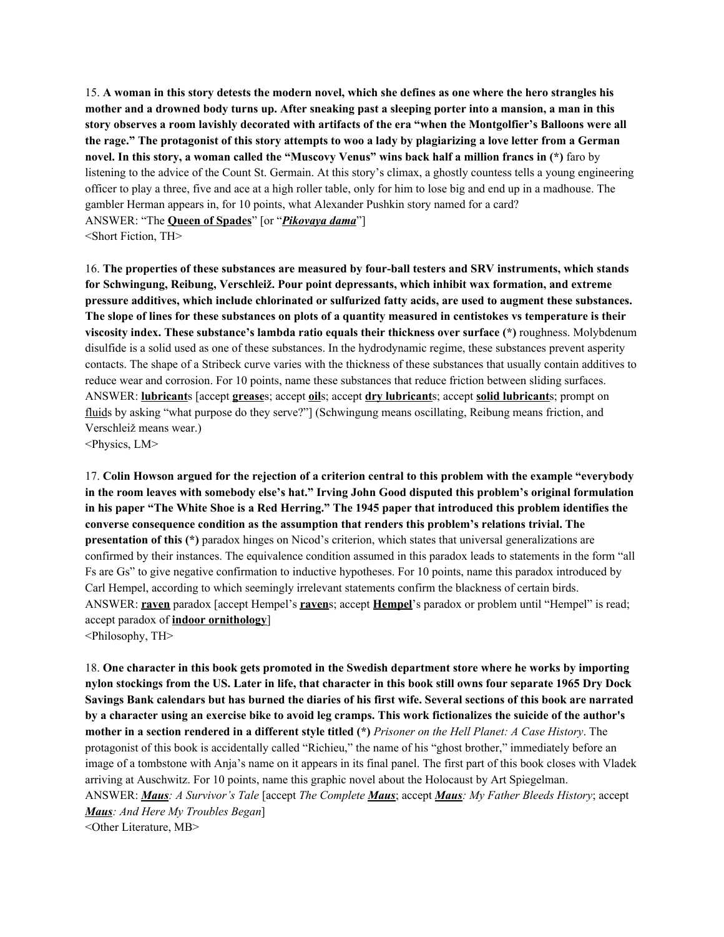15. A woman in this story detests the modern novel, which she defines as one where the hero strangles his mother and a drowned body turns up. After sneaking past a sleeping porter into a mansion, a man in this story observes a room lavishly decorated with artifacts of the era "when the Montgolfier's Balloons were all the rage." The protagonist of this story attempts to woo a lady by plagiarizing a love letter from a German novel. In this story, a woman called the "Muscovy Venus" wins back half a million francs in (\*) faro by listening to the advice of the Count St. Germain. At this story's climax, a ghostly countess tells a young engineering officer to play a three, five and ace at a high roller table, only for him to lose big and end up in a madhouse. The gambler Herman appears in, for 10 points, what Alexander Pushkin story named for a card? ANSWER: "The **Queen of Spades**" [or "*Pikovaya dama*"] <Short Fiction, TH>

16. **The properties of these substances are measured by four-ball testers and SRV instruments, which stands for Schwingung, Reibung, Verschleiž. Pour point depressants, which inhibit wax formation, and extreme pressure additives, which include chlorinated or sulfurized fatty acids, are used to augment these substances.** The slope of lines for these substances on plots of a quantity measured in centistokes vs temperature is their **viscosity index. These substance's lambda ratio equals their thickness over surface (\*)** roughness. Molybdenum disulfide is a solid used as one of these substances. In the hydrodynamic regime, these substances prevent asperity contacts. The shape of a Stribeck curve varies with the thickness of these substances that usually contain additives to reduce wear and corrosion. For 10 points, name these substances that reduce friction between sliding surfaces. ANSWER: **lubricant**s [accept **grease**s; accept **oil**s; accept **dry lubricant**s; accept **solid lubricant**s; prompt on fluids by asking "what purpose do they serve?"] (Schwingung means oscillating, Reibung means friction, and Verschleiž means wear.)

<Physics, LM>

17. Colin Howson argued for the rejection of a criterion central to this problem with the example "everybody" **in the room leaves with somebody else's hat." Irving John Good disputed this problem's original formulation** in his paper "The White Shoe is a Red Herring." The 1945 paper that introduced this problem identifies the **converse consequence condition as the assumption that renders this problem's relations trivial. The presentation of this (\*)** paradox hinges on Nicod's criterion, which states that universal generalizations are confirmed by their instances. The equivalence condition assumed in this paradox leads to statements in the form "all Fs are Gs" to give negative confirmation to inductive hypotheses. For 10 points, name this paradox introduced by Carl Hempel, according to which seemingly irrelevant statements confirm the blackness of certain birds. ANSWER: **raven** paradox [accept Hempel's **raven**s; accept **Hempel**'s paradox or problem until "Hempel" is read; accept paradox of **indoor ornithology**]

<Philosophy, TH>

18. **One character in this book gets promoted in the Swedish department store where he works by importing** nylon stockings from the US. Later in life, that character in this book still owns four separate 1965 Dry Dock Savings Bank calendars but has burned the diaries of his first wife. Several sections of this book are narrated by a character using an exercise bike to avoid leg cramps. This work fictionalizes the suicide of the author's mother in a section rendered in a different style titled (\*) Prisoner on the Hell Planet: A Case History. The protagonist of this book is accidentally called "Richieu," the name of his "ghost brother," immediately before an image of a tombstone with Anja's name on it appears in its final panel. The first part of this book closes with Vladek arriving at Auschwitz. For 10 points, name this graphic novel about the Holocaust by Art Spiegelman. ANSWER: *Maus: A Survivor's Tale* [accept *The Complete Maus*; accept *Maus: My Father Bleeds History*; accept *Maus: And Here My Troubles Began*] <Other Literature, MB>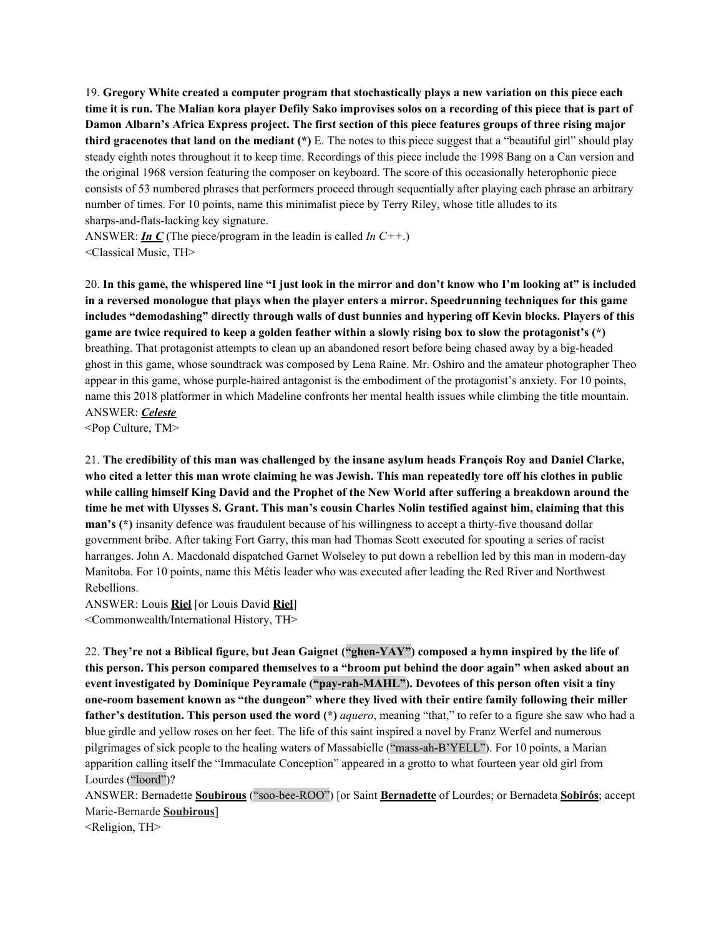19. **Gregory White created a computer program that stochastically plays a new variation on this piece each** time it is run. The Malian kora player Defily Sako improvises solos on a recording of this piece that is part of Damon Albarn's Africa Express project. The first section of this piece features groups of three rising major **third gracenotes that land on the mediant (\*)** E. The notes to this piece suggest that a "beautiful girl" should play steady eighth notes throughout it to keep time. Recordings of this piece include the 1998 Bang on a Can version and the original 1968 version featuring the composer on keyboard. The score of this occasionally heterophonic piece consists of 53 numbered phrases that performers proceed through sequentially after playing each phrase an arbitrary number of times. For 10 points, name this minimalist piece by Terry Riley, whose title alludes to its sharps-and-flats-lacking key signature.

ANSWER: *In C* (The piece/program in the leadin is called *In C++*.) <Classical Music, TH>

20. In this game, the whispered line "I just look in the mirror and don't know who I'm looking at" is included **in a reversed monologue that plays when the player enters a mirror. Speedrunning techniques for this game includes "demodashing" directly through walls of dust bunnies and hypering off Kevin blocks. Players of this** game are twice required to keep a golden feather within a slowly rising box to slow the protagonist's (\*) breathing. That protagonist attempts to clean up an abandoned resort before being chased away by a big-headed ghost in this game, whose soundtrack was composed by Lena Raine. Mr. Oshiro and the amateur photographer Theo appear in this game, whose purple-haired antagonist is the embodiment of the protagonist's anxiety. For 10 points, name this 2018 platformer in which Madeline confronts her mental health issues while climbing the title mountain. ANSWER: *Celeste*

<Pop Culture, TM>

21. **The credibility of this man was challenged by the insane asylum heads François Roy and Daniel Clarke,** who cited a letter this man wrote claiming he was Jewish. This man repeatedly tore off his clothes in public while calling himself King David and the Prophet of the New World after suffering a breakdown around the time he met with Ulysses S. Grant. This man's cousin Charles Nolin testified against him, claiming that this **man's (\*)** insanity defence was fraudulent because of his willingness to accept a thirty-five thousand dollar government bribe. After taking Fort Garry, this man had Thomas Scott executed for spouting a series of racist harranges. John A. Macdonald dispatched Garnet Wolseley to put down a rebellion led by this man in modern-day Manitoba. For 10 points, name this Métis leader who was executed after leading the Red River and Northwest Rebellions.

ANSWER: Louis **Riel** [or Louis David **Riel**] <Commonwealth/International History, TH>

22. **They're not a Biblical figure, but Jean Gaignet ("ghen-YAY") composed a hymn inspired by the life of** this person. This person compared themselves to a "broom put behind the door again" when asked about an **event investigated by Dominique Peyramale ("pay-rah-MAHL"). Devotees of this person often visit a tiny one-room basement known as "the dungeon" where they lived with their entire family following their miller father's destitution. This person used the word (\*)** *aquero*, meaning "that," to refer to a figure she saw who had a blue girdle and yellow roses on her feet. The life of this saint inspired a novel by Franz Werfel and numerous pilgrimages of sick people to the healing waters of Massabielle ("mass-ah-B'YELL"). For 10 points, a Marian apparition calling itself the "Immaculate Conception" appeared in a grotto to what fourteen year old girl from Lourdes ("loord")?

ANSWER: Bernadette **Soubirous** ("soo-bee-ROO") [or Saint **Bernadette** of Lourdes; or Bernadeta **Sobirós**; accept Marie-Bernarde **Soubirous**]

<Religion, TH>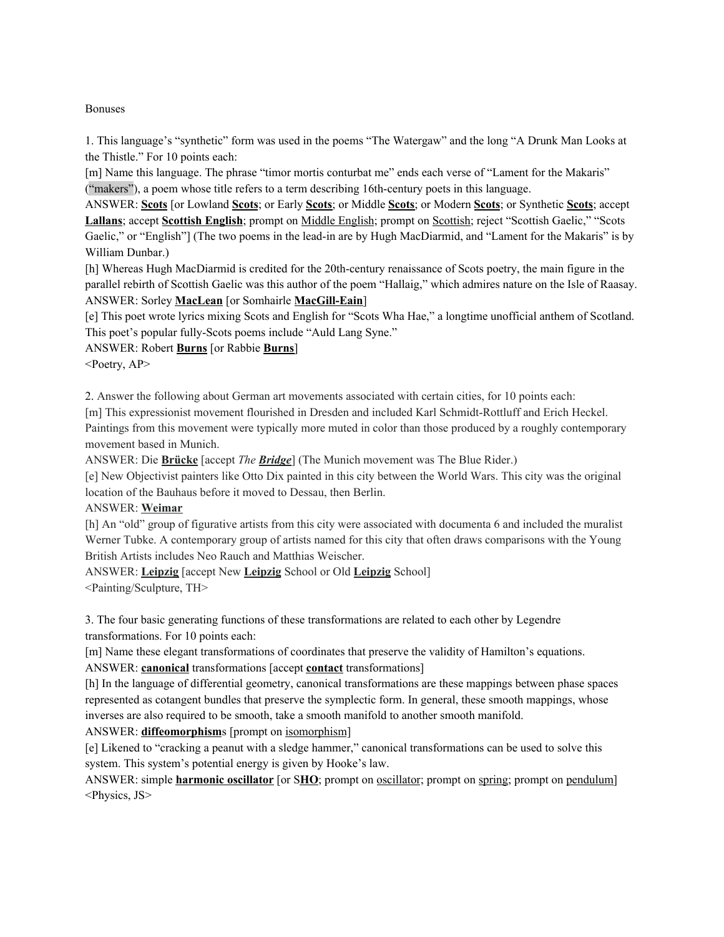#### Bonuses

1. This language's "synthetic" form was used in the poems "The Watergaw" and the long "A Drunk Man Looks at the Thistle." For 10 points each:

[m] Name this language. The phrase "timor mortis conturbat me" ends each verse of "Lament for the Makaris" ("makers"), a poem whose title refers to a term describing 16th-century poets in this language.

ANSWER: **Scots** [or Lowland **Scots**; or Early **Scots**; or Middle **Scots**; or Modern **Scots**; or Synthetic **Scots**; accept **Lallans**; accept **Scottish English**; prompt on Middle English; prompt on Scottish; reject "Scottish Gaelic," "Scots Gaelic," or "English"] (The two poems in the lead-in are by Hugh MacDiarmid, and "Lament for the Makaris" is by William Dunbar.)

[h] Whereas Hugh MacDiarmid is credited for the 20th-century renaissance of Scots poetry, the main figure in the parallel rebirth of Scottish Gaelic was this author of the poem "Hallaig," which admires nature on the Isle of Raasay. ANSWER: Sorley **MacLean** [or Somhairle **MacGill-Eain**]

[e] This poet wrote lyrics mixing Scots and English for "Scots Wha Hae," a longtime unofficial anthem of Scotland. This poet's popular fully-Scots poems include "Auld Lang Syne."

ANSWER: Robert **Burns** [or Rabbie **Burns**]

<Poetry, AP>

2. Answer the following about German art movements associated with certain cities, for 10 points each:

[m] This expressionist movement flourished in Dresden and included Karl Schmidt-Rottluff and Erich Heckel.

Paintings from this movement were typically more muted in color than those produced by a roughly contemporary movement based in Munich.

ANSWER: Die **Brücke** [accept *The Bridge*] (The Munich movement was The Blue Rider.)

[e] New Objectivist painters like Otto Dix painted in this city between the World Wars. This city was the original location of the Bauhaus before it moved to Dessau, then Berlin.

ANSWER: **Weimar**

[h] An "old" group of figurative artists from this city were associated with documenta 6 and included the muralist Werner Tubke. A contemporary group of artists named for this city that often draws comparisons with the Young British Artists includes Neo Rauch and Matthias Weischer.

ANSWER: **Leipzig** [accept New **Leipzig** School or Old **Leipzig** School]

<Painting/Sculpture, TH>

3. The four basic generating functions of these transformations are related to each other by Legendre transformations. For 10 points each:

[m] Name these elegant transformations of coordinates that preserve the validity of Hamilton's equations.

ANSWER: **canonical** transformations [accept **contact** transformations]

[h] In the language of differential geometry, canonical transformations are these mappings between phase spaces represented as cotangent bundles that preserve the symplectic form. In general, these smooth mappings, whose inverses are also required to be smooth, take a smooth manifold to another smooth manifold.

ANSWER: **diffeomorphism**s [prompt on isomorphism]

[e] Likened to "cracking a peanut with a sledge hammer," canonical transformations can be used to solve this system. This system's potential energy is given by Hooke's law.

ANSWER: simple **harmonic oscillator** [or S**HO**; prompt on oscillator; prompt on spring; prompt on pendulum] <Physics, JS>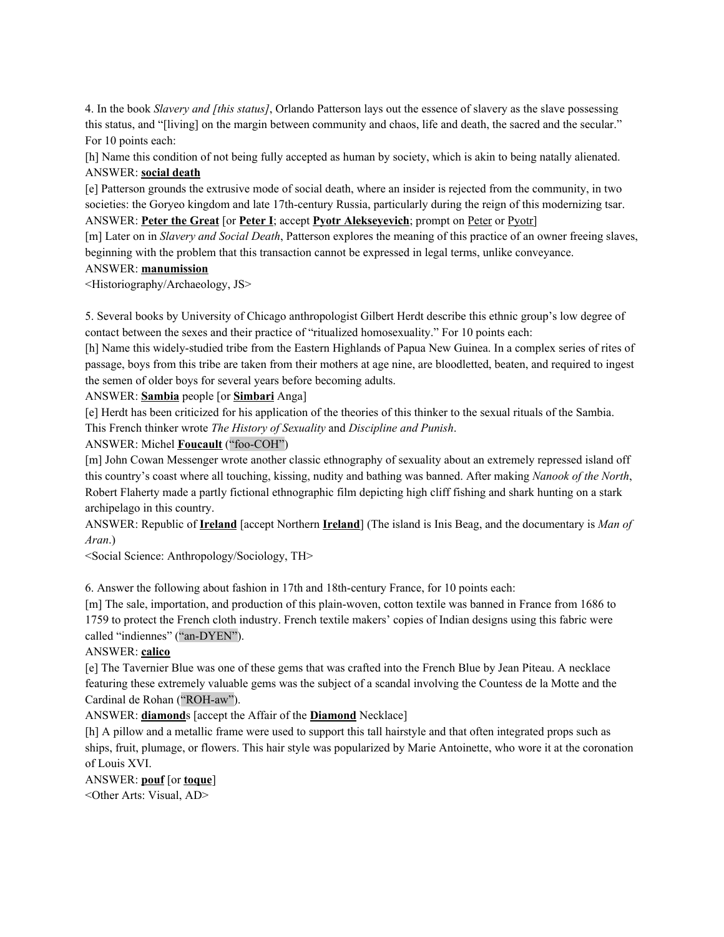4. In the book *Slavery and [this status]*, Orlando Patterson lays out the essence of slavery as the slave possessing this status, and "[living] on the margin between community and chaos, life and death, the sacred and the secular." For 10 points each:

[h] Name this condition of not being fully accepted as human by society, which is akin to being natally alienated. ANSWER: **social death**

[e] Patterson grounds the extrusive mode of social death, where an insider is rejected from the community, in two societies: the Goryeo kingdom and late 17th-century Russia, particularly during the reign of this modernizing tsar. ANSWER: **Peter the Great** [or **Peter I**; accept **Pyotr Alekseyevich**; prompt on Peter or Pyotr]

[m] Later on in *Slavery and Social Death*, Patterson explores the meaning of this practice of an owner freeing slaves, beginning with the problem that this transaction cannot be expressed in legal terms, unlike conveyance.

#### ANSWER: **manumission**

<Historiography/Archaeology, JS>

5. Several books by University of Chicago anthropologist Gilbert Herdt describe this ethnic group's low degree of contact between the sexes and their practice of "ritualized homosexuality." For 10 points each:

[h] Name this widely-studied tribe from the Eastern Highlands of Papua New Guinea. In a complex series of rites of passage, boys from this tribe are taken from their mothers at age nine, are bloodletted, beaten, and required to ingest the semen of older boys for several years before becoming adults.

ANSWER: **Sambia** people [or **Simbari** Anga]

[e] Herdt has been criticized for his application of the theories of this thinker to the sexual rituals of the Sambia. This French thinker wrote *The History of Sexuality* and *Discipline and Punish*.

#### ANSWER: Michel **Foucault** ("foo-COH")

[m] John Cowan Messenger wrote another classic ethnography of sexuality about an extremely repressed island off this country's coast where all touching, kissing, nudity and bathing was banned. After making *Nanook of the North*, Robert Flaherty made a partly fictional ethnographic film depicting high cliff fishing and shark hunting on a stark archipelago in this country.

ANSWER: Republic of **Ireland** [accept Northern **Ireland**] (The island is Inis Beag, and the documentary is *Man of Aran*.)

<Social Science: Anthropology/Sociology, TH>

6. Answer the following about fashion in 17th and 18th-century France, for 10 points each:

[m] The sale, importation, and production of this plain-woven, cotton textile was banned in France from 1686 to 1759 to protect the French cloth industry. French textile makers' copies of Indian designs using this fabric were called "indiennes" ("an-DYEN").

#### ANSWER: **calico**

[e] The Tavernier Blue was one of these gems that was crafted into the French Blue by Jean Piteau. A necklace featuring these extremely valuable gems was the subject of a scandal involving the Countess de la Motte and the Cardinal de Rohan ("ROH-aw").

ANSWER: **diamond**s [accept the Affair of the **Diamond** Necklace]

[h] A pillow and a metallic frame were used to support this tall hairstyle and that often integrated props such as ships, fruit, plumage, or flowers. This hair style was popularized by Marie Antoinette, who wore it at the coronation of Louis XVI.

ANSWER: **pouf** [or **toque**] <Other Arts: Visual, AD>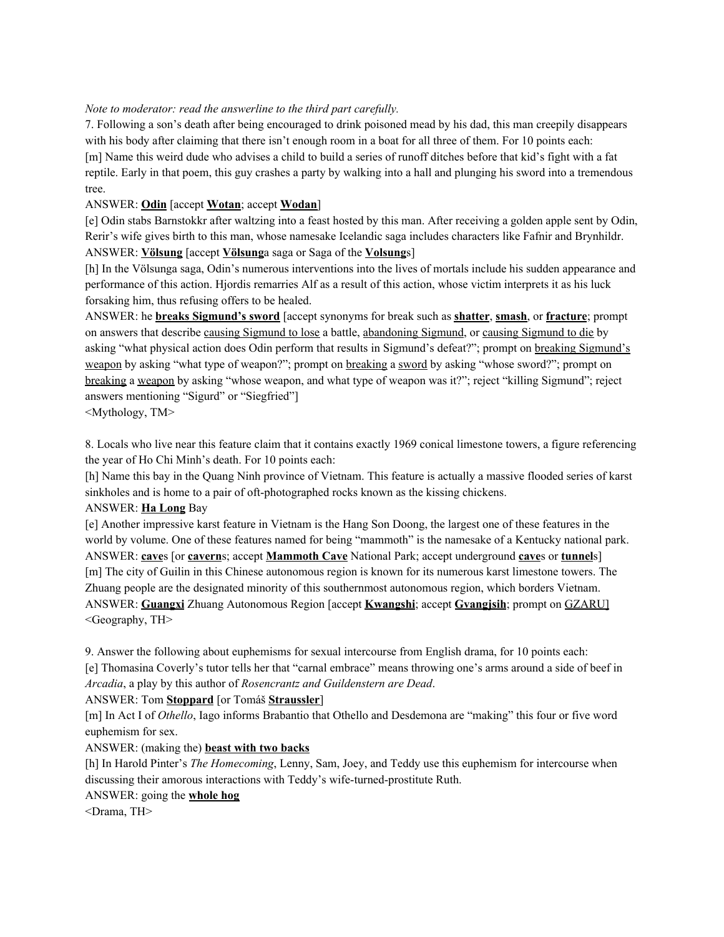### *Note to moderator: read the answerline to the third part carefully.*

7. Following a son's death after being encouraged to drink poisoned mead by his dad, this man creepily disappears with his body after claiming that there isn't enough room in a boat for all three of them. For 10 points each: [m] Name this weird dude who advises a child to build a series of runoff ditches before that kid's fight with a fat reptile. Early in that poem, this guy crashes a party by walking into a hall and plunging his sword into a tremendous tree.

### ANSWER: **Odin** [accept **Wotan**; accept **Wodan**]

[e] Odin stabs Barnstokkr after waltzing into a feast hosted by this man. After receiving a golden apple sent by Odin, Rerir's wife gives birth to this man, whose namesake Icelandic saga includes characters like Fafnir and Brynhildr. ANSWER: **Völsung** [accept **Völsung**a saga or Saga of the **Volsung**s]

[h] In the Völsunga saga, Odin's numerous interventions into the lives of mortals include his sudden appearance and performance of this action. Hjordis remarries Alf as a result of this action, whose victim interprets it as his luck forsaking him, thus refusing offers to be healed.

ANSWER: he **breaks Sigmund's sword** [accept synonyms for break such as **shatter**, **smash**, or **fracture**; prompt on answers that describe causing Sigmund to lose a battle, abandoning Sigmund, or causing Sigmund to die by asking "what physical action does Odin perform that results in Sigmund's defeat?"; prompt on breaking Sigmund's weapon by asking "what type of weapon?"; prompt on breaking a sword by asking "whose sword?"; prompt on breaking a weapon by asking "whose weapon, and what type of weapon was it?"; reject "killing Sigmund"; reject answers mentioning "Sigurd" or "Siegfried"]

<Mythology, TM>

8. Locals who live near this feature claim that it contains exactly 1969 conical limestone towers, a figure referencing the year of Ho Chi Minh's death. For 10 points each:

[h] Name this bay in the Quang Ninh province of Vietnam. This feature is actually a massive flooded series of karst sinkholes and is home to a pair of oft-photographed rocks known as the kissing chickens.

### ANSWER: **Ha Long** Bay

[e] Another impressive karst feature in Vietnam is the Hang Son Doong, the largest one of these features in the world by volume. One of these features named for being "mammoth" is the namesake of a Kentucky national park. ANSWER: **cave**s [or **cavern**s; accept **Mammoth Cave** National Park; accept underground **cave**s or **tunnel**s] [m] The city of Guilin in this Chinese autonomous region is known for its numerous karst limestone towers. The Zhuang people are the designated minority of this southernmost autonomous region, which borders Vietnam. ANSWER: **Guangxi** Zhuang Autonomous Region [accept **Kwangshi**; accept **Gvangjsih**; prompt on GZARU] <Geography, TH>

9. Answer the following about euphemisms for sexual intercourse from English drama, for 10 points each: [e] Thomasina Coverly's tutor tells her that "carnal embrace" means throwing one's arms around a side of beef in *Arcadia*, a play by this author of *Rosencrantz and Guildenstern are Dead*.

#### ANSWER: Tom **Stoppard** [or Tomáš **Straussler**]

[m] In Act I of *Othello*, Iago informs Brabantio that Othello and Desdemona are "making" this four or five word euphemism for sex.

ANSWER: (making the) **beast with two backs**

[h] In Harold Pinter's *The Homecoming*, Lenny, Sam, Joey, and Teddy use this euphemism for intercourse when discussing their amorous interactions with Teddy's wife-turned-prostitute Ruth.

#### ANSWER: going the **whole hog**

<Drama, TH>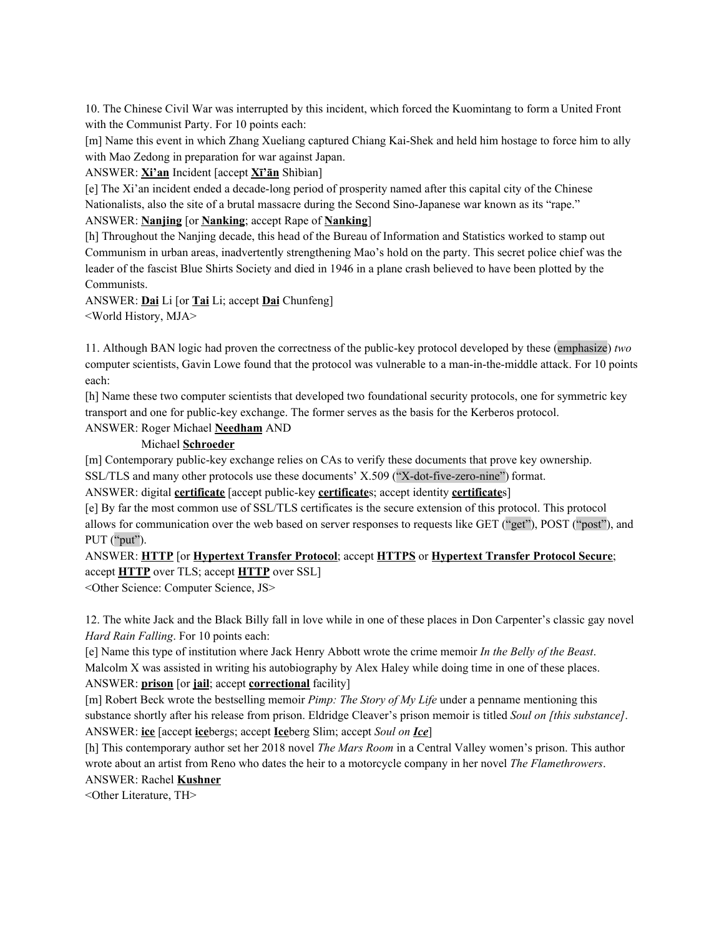10. The Chinese Civil War was interrupted by this incident, which forced the Kuomintang to form a United Front with the Communist Party. For 10 points each:

[m] Name this event in which Zhang Xueliang captured Chiang Kai-Shek and held him hostage to force him to ally with Mao Zedong in preparation for war against Japan.

ANSWER: **Xi'an** Incident [accept **Xī'ān** Shìbìan]

[e] The Xi'an incident ended a decade-long period of prosperity named after this capital city of the Chinese Nationalists, also the site of a brutal massacre during the Second Sino-Japanese war known as its "rape."

ANSWER: **Nanjing** [or **Nanking**; accept Rape of **Nanking**]

[h] Throughout the Nanjing decade, this head of the Bureau of Information and Statistics worked to stamp out Communism in urban areas, inadvertently strengthening Mao's hold on the party. This secret police chief was the leader of the fascist Blue Shirts Society and died in 1946 in a plane crash believed to have been plotted by the Communists.

ANSWER: **Dai** Li [or **Tai** Li; accept **Dai** Chunfeng] <World History, MJA>

11. Although BAN logic had proven the correctness of the public-key protocol developed by these (emphasize) *two* computer scientists, Gavin Lowe found that the protocol was vulnerable to a man-in-the-middle attack. For 10 points each:

[h] Name these two computer scientists that developed two foundational security protocols, one for symmetric key transport and one for public-key exchange. The former serves as the basis for the Kerberos protocol.

ANSWER: Roger Michael **Needham** AND

#### Michael **Schroeder**

[m] Contemporary public-key exchange relies on CAs to verify these documents that prove key ownership.

SSL/TLS and many other protocols use these documents' X.509 ("X-dot-five-zero-nine") format.

ANSWER: digital **certificate** [accept public-key **certificate**s; accept identity **certificate**s]

[e] By far the most common use of SSL/TLS certificates is the secure extension of this protocol. This protocol allows for communication over the web based on server responses to requests like GET ("get"), POST ("post"), and PUT ("put").

ANSWER: **HTTP** [or **Hypertext Transfer Protocol**; accept **HTTPS** or **Hypertext Transfer Protocol Secure**; accept **HTTP** over TLS; accept **HTTP** over SSL]

<Other Science: Computer Science, JS>

12. The white Jack and the Black Billy fall in love while in one of these places in Don Carpenter's classic gay novel *Hard Rain Falling*. For 10 points each:

[e] Name this type of institution where Jack Henry Abbott wrote the crime memoir *In the Belly of the Beast*. Malcolm X was assisted in writing his autobiography by Alex Haley while doing time in one of these places. ANSWER: **prison** [or **jail**; accept **correctional** facility]

[m] Robert Beck wrote the bestselling memoir *Pimp: The Story of My Life* under a penname mentioning this substance shortly after his release from prison. Eldridge Cleaver's prison memoir is titled *Soul on [this substance]*. ANSWER: **ice** [accept **ice**bergs; accept **Ice**berg Slim; accept *Soul on Ice*]

[h] This contemporary author set her 2018 novel *The Mars Room* in a Central Valley women's prison. This author wrote about an artist from Reno who dates the heir to a motorcycle company in her novel *The Flamethrowers*. ANSWER: Rachel **Kushner**

<Other Literature, TH>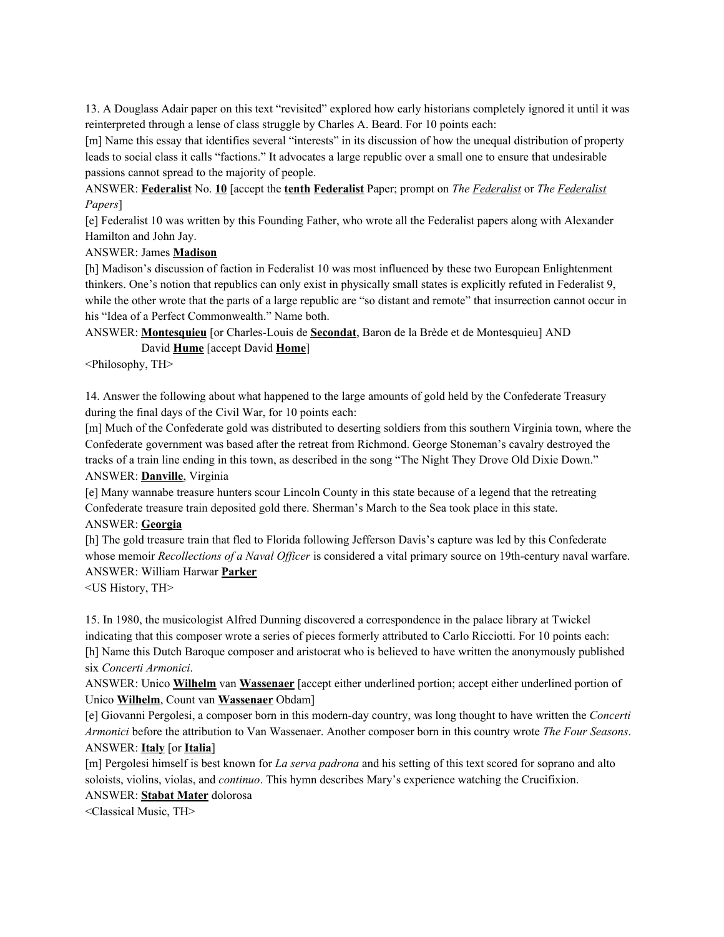13. A Douglass Adair paper on this text "revisited" explored how early historians completely ignored it until it was reinterpreted through a lense of class struggle by Charles A. Beard. For 10 points each:

[m] Name this essay that identifies several "interests" in its discussion of how the unequal distribution of property leads to social class it calls "factions." It advocates a large republic over a small one to ensure that undesirable passions cannot spread to the majority of people.

ANSWER: **Federalist** No. **10** [accept the **tenth Federalist** Paper; prompt on *The Federalist* or *The Federalist Papers*]

[e] Federalist 10 was written by this Founding Father, who wrote all the Federalist papers along with Alexander Hamilton and John Jay.

#### ANSWER: James **Madison**

[h] Madison's discussion of faction in Federalist 10 was most influenced by these two European Enlightenment thinkers. One's notion that republics can only exist in physically small states is explicitly refuted in Federalist 9, while the other wrote that the parts of a large republic are "so distant and remote" that insurrection cannot occur in his "Idea of a Perfect Commonwealth." Name both.

ANSWER: **Montesquieu** [or Charles-Louis de **Secondat**, Baron de la Brède et de Montesquieu] AND David **Hume** [accept David **Home**]

<Philosophy, TH>

14. Answer the following about what happened to the large amounts of gold held by the Confederate Treasury during the final days of the Civil War, for 10 points each:

[m] Much of the Confederate gold was distributed to deserting soldiers from this southern Virginia town, where the Confederate government was based after the retreat from Richmond. George Stoneman's cavalry destroyed the tracks of a train line ending in this town, as described in the song "The Night They Drove Old Dixie Down." ANSWER: **Danville**, Virginia

[e] Many wannabe treasure hunters scour Lincoln County in this state because of a legend that the retreating Confederate treasure train deposited gold there. Sherman's March to the Sea took place in this state.

## ANSWER: **Georgia**

[h] The gold treasure train that fled to Florida following Jefferson Davis's capture was led by this Confederate whose memoir *Recollections* of a *Naval Officer* is considered a vital primary source on 19th-century naval warfare. ANSWER: William Harwar **Parker**

<US History, TH>

15. In 1980, the musicologist Alfred Dunning discovered a correspondence in the palace library at Twickel indicating that this composer wrote a series of pieces formerly attributed to Carlo Ricciotti. For 10 points each: [h] Name this Dutch Baroque composer and aristocrat who is believed to have written the anonymously published six *Concerti Armonici*.

ANSWER: Unico **Wilhelm** van **Wassenaer** [accept either underlined portion; accept either underlined portion of Unico **Wilhelm**, Count van **Wassenaer** Obdam]

[e] Giovanni Pergolesi, a composer born in this modern-day country, was long thought to have written the *Concerti Armonici* before the attribution to Van Wassenaer. Another composer born in this country wrote *The Four Seasons*. ANSWER: **Italy** [or **Italia**]

[m] Pergolesi himself is best known for *La serva padrona* and his setting of this text scored for soprano and alto soloists, violins, violas, and *continuo*. This hymn describes Mary's experience watching the Crucifixion.

ANSWER: **Stabat Mater** dolorosa

<Classical Music, TH>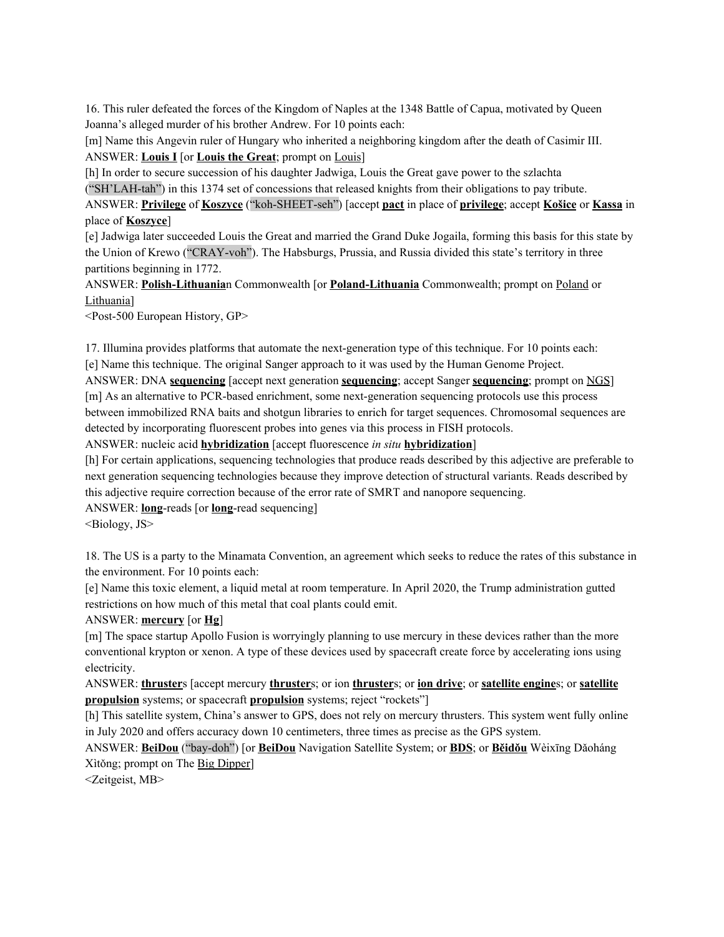16. This ruler defeated the forces of the Kingdom of Naples at the 1348 Battle of Capua, motivated by Queen Joanna's alleged murder of his brother Andrew. For 10 points each:

[m] Name this Angevin ruler of Hungary who inherited a neighboring kingdom after the death of Casimir III. ANSWER: **Louis I** [or **Louis the Great**; prompt on Louis]

[h] In order to secure succession of his daughter Jadwiga, Louis the Great gave power to the szlachta ("SH'LAH-tah") in this 1374 set of concessions that released knights from their obligations to pay tribute.

ANSWER: **Privilege** of **Koszyce** ("koh-SHEET-seh") [accept **pact** in place of **privilege**; accept **Košice** or **Kassa** in place of **Koszyce**]

[e] Jadwiga later succeeded Louis the Great and married the Grand Duke Jogaila, forming this basis for this state by the Union of Krewo ("CRAY-voh"). The Habsburgs, Prussia, and Russia divided this state's territory in three partitions beginning in 1772.

ANSWER: **Polish-Lithuania**n Commonwealth [or **Poland-Lithuania** Commonwealth; prompt on Poland or Lithuania]

<Post-500 European History, GP>

17. Illumina provides platforms that automate the next-generation type of this technique. For 10 points each: [e] Name this technique. The original Sanger approach to it was used by the Human Genome Project.

ANSWER: DNA **sequencing** [accept next generation **sequencing**; accept Sanger **sequencing**; prompt on NGS] [m] As an alternative to PCR-based enrichment, some next-generation sequencing protocols use this process between immobilized RNA baits and shotgun libraries to enrich for target sequences. Chromosomal sequences are detected by incorporating fluorescent probes into genes via this process in FISH protocols.

ANSWER: nucleic acid **hybridization** [accept fluorescence *in situ* **hybridization**]

[h] For certain applications, sequencing technologies that produce reads described by this adjective are preferable to next generation sequencing technologies because they improve detection of structural variants. Reads described by this adjective require correction because of the error rate of SMRT and nanopore sequencing.

ANSWER: **long**-reads [or **long**-read sequencing] <Biology, JS>

18. The US is a party to the Minamata Convention, an agreement which seeks to reduce the rates of this substance in the environment. For 10 points each:

[e] Name this toxic element, a liquid metal at room temperature. In April 2020, the Trump administration gutted restrictions on how much of this metal that coal plants could emit.

## ANSWER: **mercury** [or **Hg**]

[m] The space startup Apollo Fusion is worryingly planning to use mercury in these devices rather than the more conventional krypton or xenon. A type of these devices used by spacecraft create force by accelerating ions using electricity.

ANSWER: **thruster**s [accept mercury **thruster**s; or ion **thruster**s; or **ion drive**; or **satellite engine**s; or **satellite propulsion** systems; or spacecraft **propulsion** systems; reject "rockets"]

[h] This satellite system, China's answer to GPS, does not rely on mercury thrusters. This system went fully online in July 2020 and offers accuracy down 10 centimeters, three times as precise as the GPS system.

ANSWER: **BeiDou** ("bay-doh") [or **BeiDou** Navigation Satellite System; or **BDS**; or **Běidǒu** Wèixīng Dǎoháng Xìtǒng; prompt on The Big Dipper]

<Zeitgeist, MB>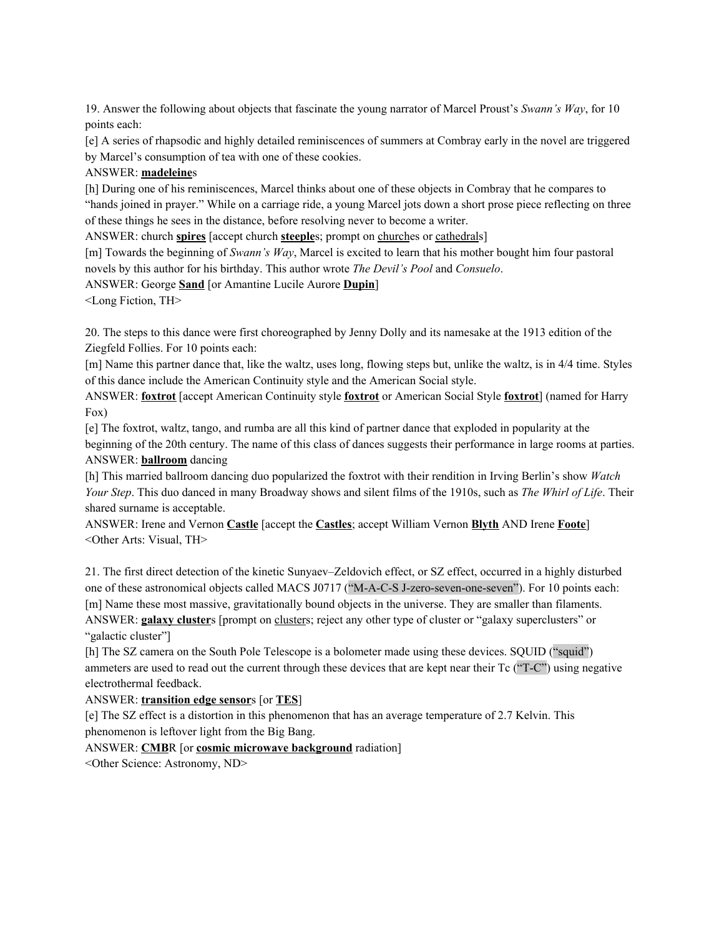19. Answer the following about objects that fascinate the young narrator of Marcel Proust's *Swann's Way*, for 10 points each:

[e] A series of rhapsodic and highly detailed reminiscences of summers at Combray early in the novel are triggered by Marcel's consumption of tea with one of these cookies.

## ANSWER: **madeleine**s

[h] During one of his reminiscences, Marcel thinks about one of these objects in Combray that he compares to "hands joined in prayer." While on a carriage ride, a young Marcel jots down a short prose piece reflecting on three of these things he sees in the distance, before resolving never to become a writer.

ANSWER: church **spires** [accept church **steeple**s; prompt on churches or cathedrals]

[m] Towards the beginning of *Swann's Way*, Marcel is excited to learn that his mother bought him four pastoral novels by this author for his birthday. This author wrote *The Devil's Pool* and *Consuelo*.

ANSWER: George **Sand** [or Amantine Lucile Aurore **Dupin**]

<Long Fiction, TH>

20. The steps to this dance were first choreographed by Jenny Dolly and its namesake at the 1913 edition of the Ziegfeld Follies. For 10 points each:

[m] Name this partner dance that, like the waltz, uses long, flowing steps but, unlike the waltz, is in 4/4 time. Styles of this dance include the American Continuity style and the American Social style.

ANSWER: **foxtrot** [accept American Continuity style **foxtrot** or American Social Style **foxtrot**] (named for Harry Fox)

[e] The foxtrot, waltz, tango, and rumba are all this kind of partner dance that exploded in popularity at the beginning of the 20th century. The name of this class of dances suggests their performance in large rooms at parties. ANSWER: **ballroom** dancing

[h] This married ballroom dancing duo popularized the foxtrot with their rendition in Irving Berlin's show *Watch Your Step*. This duo danced in many Broadway shows and silent films of the 1910s, such as *The Whirl of Life*. Their shared surname is acceptable.

ANSWER: Irene and Vernon **Castle** [accept the **Castles**; accept William Vernon **Blyth** AND Irene **Foote**] <Other Arts: Visual, TH>

21. The first direct detection of the kinetic Sunyaev–Zeldovich effect, or SZ effect, occurred in a highly disturbed one of these astronomical objects called MACS J0717 ("M-A-C-S J-zero-seven-one-seven"). For 10 points each: [m] Name these most massive, gravitationally bound objects in the universe. They are smaller than filaments. ANSWER: **galaxy cluster**s [prompt on clusters; reject any other type of cluster or "galaxy superclusters" or

"galactic cluster"]

[h] The SZ camera on the South Pole Telescope is a bolometer made using these devices. SQUID ("squid") ammeters are used to read out the current through these devices that are kept near their Tc ("T-C") using negative electrothermal feedback.

# ANSWER: **transition edge sensor**s [or **TES**]

[e] The SZ effect is a distortion in this phenomenon that has an average temperature of 2.7 Kelvin. This phenomenon is leftover light from the Big Bang.

## ANSWER: **CMB**R [or **cosmic microwave background** radiation]

<Other Science: Astronomy, ND>